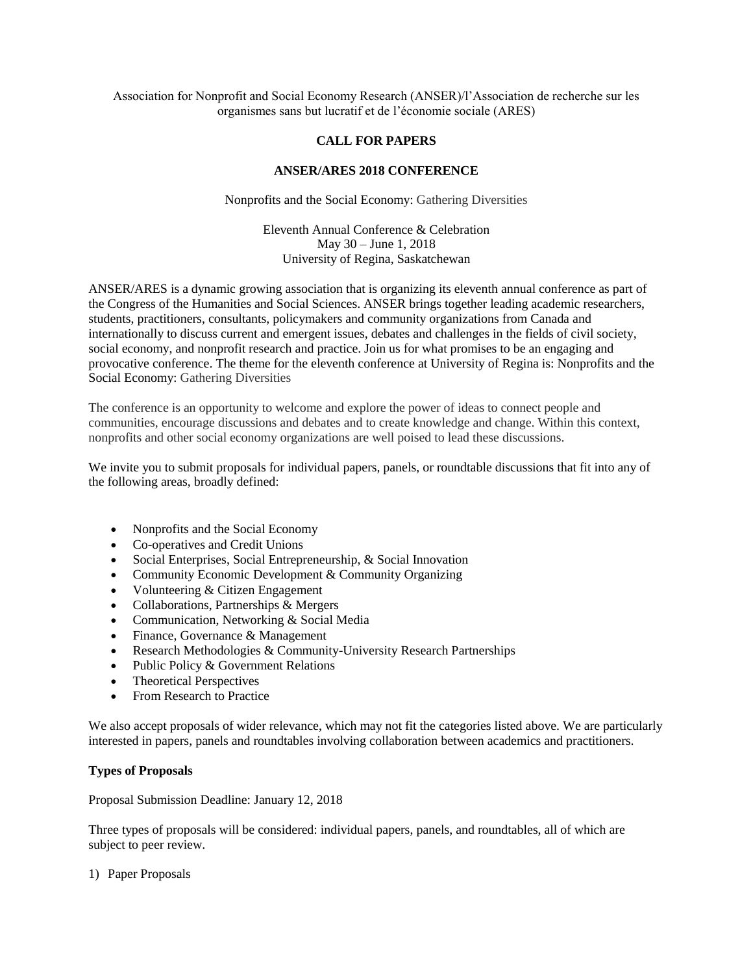Association for Nonprofit and Social Economy Research (ANSER)/l'Association de recherche sur les organismes sans but lucratif et de l'économie sociale (ARES)

# **CALL FOR PAPERS**

## **ANSER/ARES 2018 CONFERENCE**

Nonprofits and the Social Economy: Gathering Diversities

# Eleventh Annual Conference & Celebration May 30 – June 1, 2018 University of Regina, Saskatchewan

ANSER/ARES is a dynamic growing association that is organizing its eleventh annual conference as part of the Congress of the Humanities and Social Sciences. ANSER brings together leading academic researchers, students, practitioners, consultants, policymakers and community organizations from Canada and internationally to discuss current and emergent issues, debates and challenges in the fields of civil society, social economy, and nonprofit research and practice. Join us for what promises to be an engaging and provocative conference. The theme for the eleventh conference at University of Regina is: Nonprofits and the Social Economy: Gathering Diversities

The conference is an opportunity to welcome and explore the power of ideas to connect people and communities, encourage discussions and debates and to create knowledge and change. Within this context, nonprofits and other social economy organizations are well poised to lead these discussions.

We invite you to submit proposals for individual papers, panels, or roundtable discussions that fit into any of the following areas, broadly defined:

- Nonprofits and the Social Economy
- Co-operatives and Credit Unions
- Social Enterprises, Social Entrepreneurship, & Social Innovation
- Community Economic Development & Community Organizing
- Volunteering & Citizen Engagement
- Collaborations, Partnerships & Mergers
- Communication, Networking & Social Media
- Finance, Governance & Management
- Research Methodologies & Community-University Research Partnerships
- Public Policy & Government Relations
- Theoretical Perspectives
- From Research to Practice

We also accept proposals of wider relevance, which may not fit the categories listed above. We are particularly interested in papers, panels and roundtables involving collaboration between academics and practitioners.

## **Types of Proposals**

Proposal Submission Deadline: January 12, 2018

Three types of proposals will be considered: individual papers, panels, and roundtables, all of which are subject to peer review.

1) Paper Proposals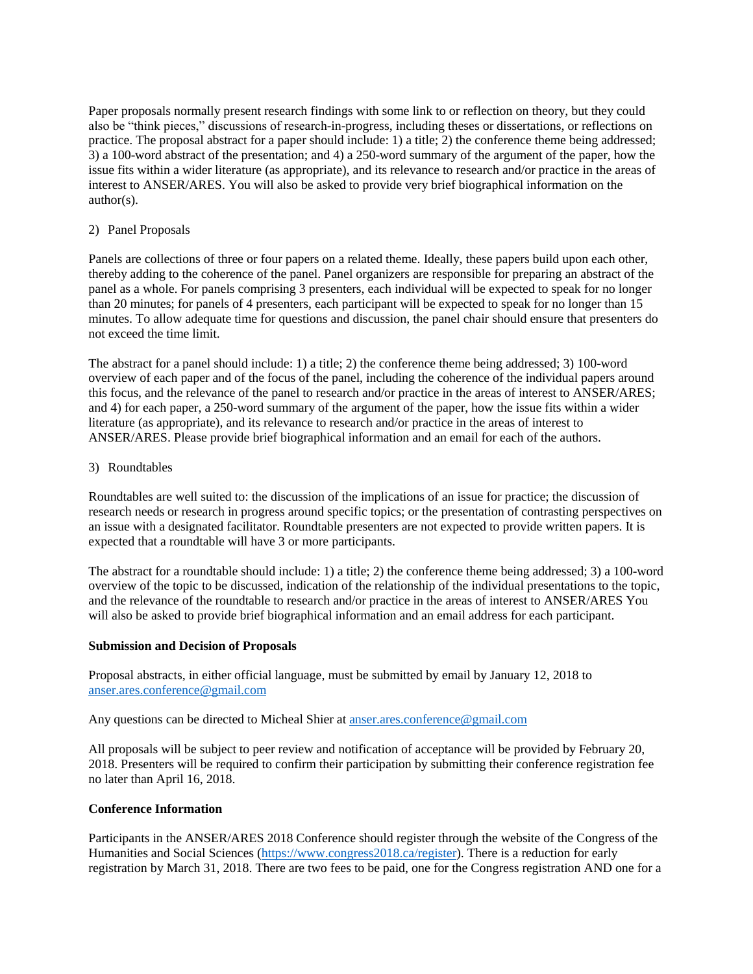Paper proposals normally present research findings with some link to or reflection on theory, but they could also be "think pieces," discussions of research-in-progress, including theses or dissertations, or reflections on practice. The proposal abstract for a paper should include: 1) a title; 2) the conference theme being addressed; 3) a 100-word abstract of the presentation; and 4) a 250-word summary of the argument of the paper, how the issue fits within a wider literature (as appropriate), and its relevance to research and/or practice in the areas of interest to ANSER/ARES. You will also be asked to provide very brief biographical information on the author(s).

# 2) Panel Proposals

Panels are collections of three or four papers on a related theme. Ideally, these papers build upon each other, thereby adding to the coherence of the panel. Panel organizers are responsible for preparing an abstract of the panel as a whole. For panels comprising 3 presenters, each individual will be expected to speak for no longer than 20 minutes; for panels of 4 presenters, each participant will be expected to speak for no longer than 15 minutes. To allow adequate time for questions and discussion, the panel chair should ensure that presenters do not exceed the time limit.

The abstract for a panel should include: 1) a title; 2) the conference theme being addressed; 3) 100-word overview of each paper and of the focus of the panel, including the coherence of the individual papers around this focus, and the relevance of the panel to research and/or practice in the areas of interest to ANSER/ARES; and 4) for each paper, a 250-word summary of the argument of the paper, how the issue fits within a wider literature (as appropriate), and its relevance to research and/or practice in the areas of interest to ANSER/ARES. Please provide brief biographical information and an email for each of the authors.

## 3) Roundtables

Roundtables are well suited to: the discussion of the implications of an issue for practice; the discussion of research needs or research in progress around specific topics; or the presentation of contrasting perspectives on an issue with a designated facilitator. Roundtable presenters are not expected to provide written papers. It is expected that a roundtable will have 3 or more participants.

The abstract for a roundtable should include: 1) a title; 2) the conference theme being addressed; 3) a 100-word overview of the topic to be discussed, indication of the relationship of the individual presentations to the topic, and the relevance of the roundtable to research and/or practice in the areas of interest to ANSER/ARES You will also be asked to provide brief biographical information and an email address for each participant.

#### **Submission and Decision of Proposals**

Proposal abstracts, in either official language, must be submitted by email by January 12, 2018 to [anser.ares.conference@gmail.com](mailto:anser.ares.conference@gmail.com)

Any questions can be directed to Micheal Shier at [anser.ares.conference@gmail.com](mailto:anser.ares.conference@gmail.com)

All proposals will be subject to peer review and notification of acceptance will be provided by February 20, 2018. Presenters will be required to confirm their participation by submitting their conference registration fee no later than April 16, 2018.

#### **Conference Information**

Participants in the ANSER/ARES 2018 Conference should register through the website of the Congress of the Humanities and Social Sciences [\(https://www.congress2018.ca/register\)](https://www.congress2018.ca/register). There is a reduction for early registration by March 31, 2018. There are two fees to be paid, one for the Congress registration AND one for a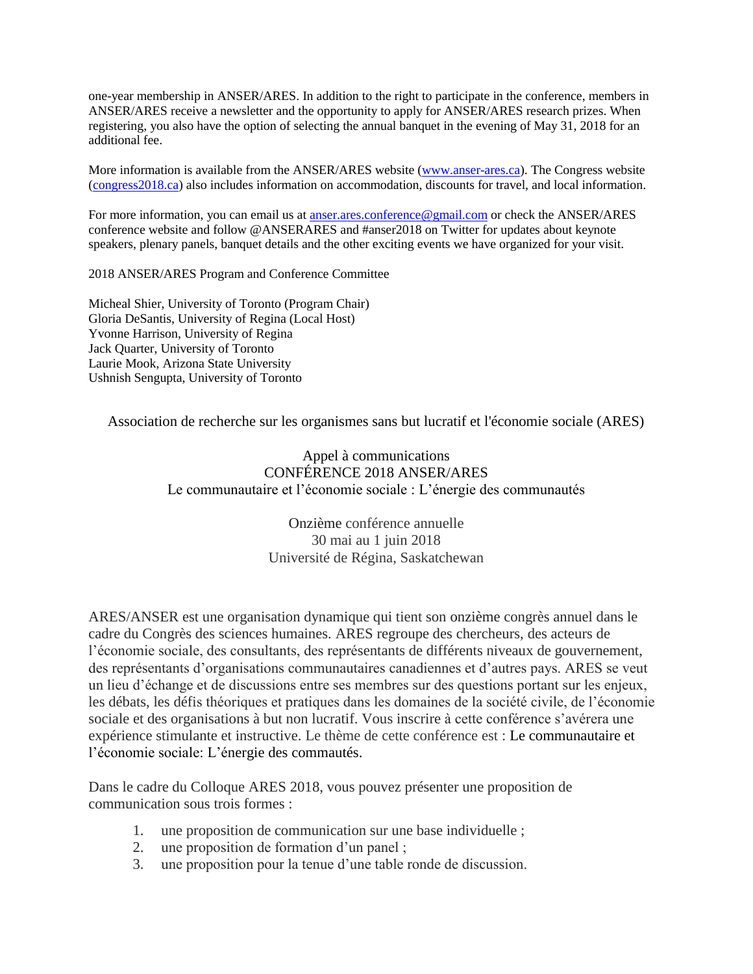one-year membership in ANSER/ARES. In addition to the right to participate in the conference, members in ANSER/ARES receive a newsletter and the opportunity to apply for ANSER/ARES research prizes. When registering, you also have the option of selecting the annual banquet in the evening of May 31, 2018 for an additional fee.

More information is available from the ANSER/ARES website [\(www.anser-ares.ca\)](https://owa2010.utoronto.ca/owa/redir.aspx?SURL=p2-XyL0D3T8qCKa_OWYS7sDsG4_cTIg43bfvj5qBRGdThqCKuhjVCGgAdAB0AHAAOgAvAC8AdwB3AHcALgBhAG4AcwBlAHIALQBhAHIAZQBzAC4AYwBhAA..&URL=http%3a%2f%2fwww.anser-ares.ca). The Congress website [\(congress2018.ca\)](https://owa2010.utoronto.ca/owa/redir.aspx?SURL=UohJk0B3lFN1jgy_G4hNW75SGbwEWb2fmswqvISOmwlThqCKuhjVCGgAdAB0AHAAOgAvAC8AYwBvAG4AZwByAGUAcwBzADIAMAAxADcALgBjAGEA&URL=http%3a%2f%2fcongress2017.ca) also includes information on accommodation, discounts for travel, and local information.

For more information, you can email us at anser, ares.conference@gmail.com or check the ANSER/ARES conference website and follow @ANSERARES and #anser2018 on Twitter for updates about keynote speakers, plenary panels, banquet details and the other exciting events we have organized for your visit.

2018 ANSER/ARES Program and Conference Committee

Micheal Shier, University of Toronto (Program Chair) Gloria DeSantis, University of Regina (Local Host) Yvonne Harrison, University of Regina Jack Quarter, University of Toronto Laurie Mook, Arizona State University Ushnish Sengupta, University of Toronto

Association de recherche sur les organismes sans but lucratif et l'économie sociale (ARES)

Appel à communications CONFÉRENCE 2018 ANSER/ARES Le communautaire et l'économie sociale : L'énergie des communautés

> Onzième conférence annuelle 30 mai au 1 juin 2018 Université de Régina, Saskatchewan

ARES/ANSER est une organisation dynamique qui tient son onzième congrès annuel dans le cadre du Congrès des sciences humaines. ARES regroupe des chercheurs, des acteurs de l'économie sociale, des consultants, des représentants de différents niveaux de gouvernement, des représentants d'organisations communautaires canadiennes et d'autres pays. ARES se veut un lieu d'échange et de discussions entre ses membres sur des questions portant sur les enjeux, les débats, les défis théoriques et pratiques dans les domaines de la société civile, de l'économie sociale et des organisations à but non lucratif. Vous inscrire à cette conférence s'avérera une expérience stimulante et instructive. Le thème de cette conférence est : Le communautaire et l'économie sociale: L'énergie des commautés.

Dans le cadre du Colloque ARES 2018, vous pouvez présenter une proposition de communication sous trois formes :

- 1. une proposition de communication sur une base individuelle ;
- 2. une proposition de formation d'un panel ;
- 3. une proposition pour la tenue d'une table ronde de discussion.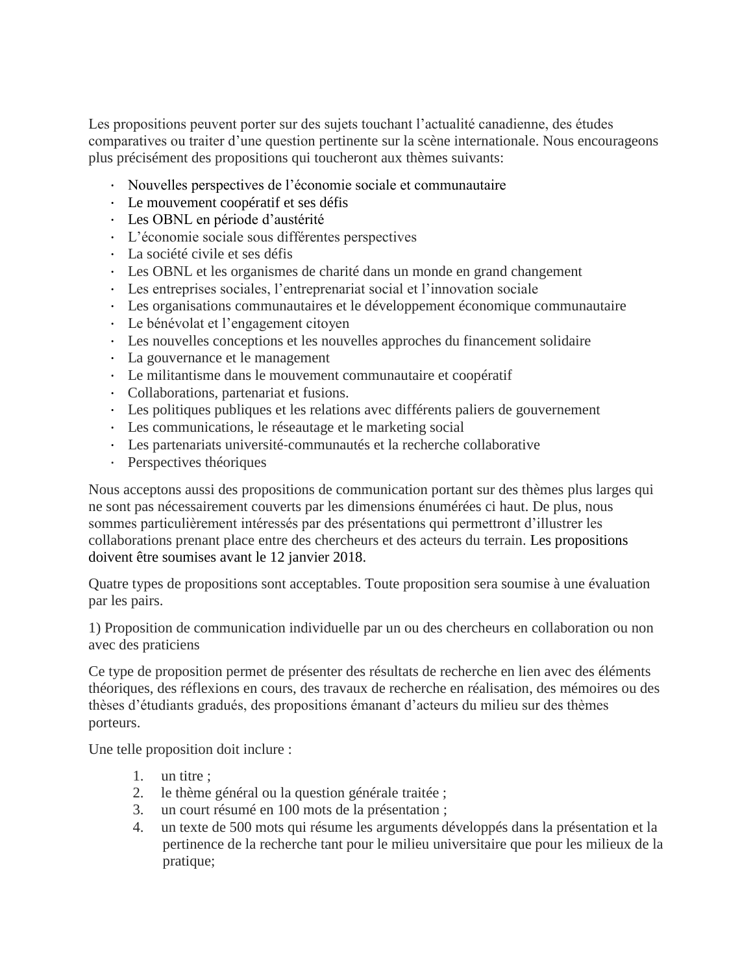Les propositions peuvent porter sur des sujets touchant l'actualité canadienne, des études comparatives ou traiter d'une question pertinente sur la scène internationale. Nous encourageons plus précisément des propositions qui toucheront aux thèmes suivants:

- · Nouvelles perspectives de l'économie sociale et communautaire
- · Le mouvement coopératif et ses défis
- · Les OBNL en période d'austérité
- · L'économie sociale sous différentes perspectives
- · La société civile et ses défis
- · Les OBNL et les organismes de charité dans un monde en grand changement
- · Les entreprises sociales, l'entreprenariat social et l'innovation sociale
- · Les organisations communautaires et le développement économique communautaire
- · Le bénévolat et l'engagement citoyen
- · Les nouvelles conceptions et les nouvelles approches du financement solidaire
- · La gouvernance et le management
- · Le militantisme dans le mouvement communautaire et coopératif
- · Collaborations, partenariat et fusions.
- · Les politiques publiques et les relations avec différents paliers de gouvernement
- · Les communications, le réseautage et le marketing social
- · Les partenariats université-communautés et la recherche collaborative
- · Perspectives théoriques

Nous acceptons aussi des propositions de communication portant sur des thèmes plus larges qui ne sont pas nécessairement couverts par les dimensions énumérées ci haut. De plus, nous sommes particulièrement intéressés par des présentations qui permettront d'illustrer les collaborations prenant place entre des chercheurs et des acteurs du terrain. Les propositions doivent être soumises avant le 12 janvier 2018.

Quatre types de propositions sont acceptables. Toute proposition sera soumise à une évaluation par les pairs.

1) Proposition de communication individuelle par un ou des chercheurs en collaboration ou non avec des praticiens

Ce type de proposition permet de présenter des résultats de recherche en lien avec des éléments théoriques, des réflexions en cours, des travaux de recherche en réalisation, des mémoires ou des thèses d'étudiants gradués, des propositions émanant d'acteurs du milieu sur des thèmes porteurs.

Une telle proposition doit inclure :

- 1. un titre ;
- 2. le thème général ou la question générale traitée ;
- 3. un court résumé en 100 mots de la présentation ;
- 4. un texte de 500 mots qui résume les arguments développés dans la présentation et la pertinence de la recherche tant pour le milieu universitaire que pour les milieux de la pratique;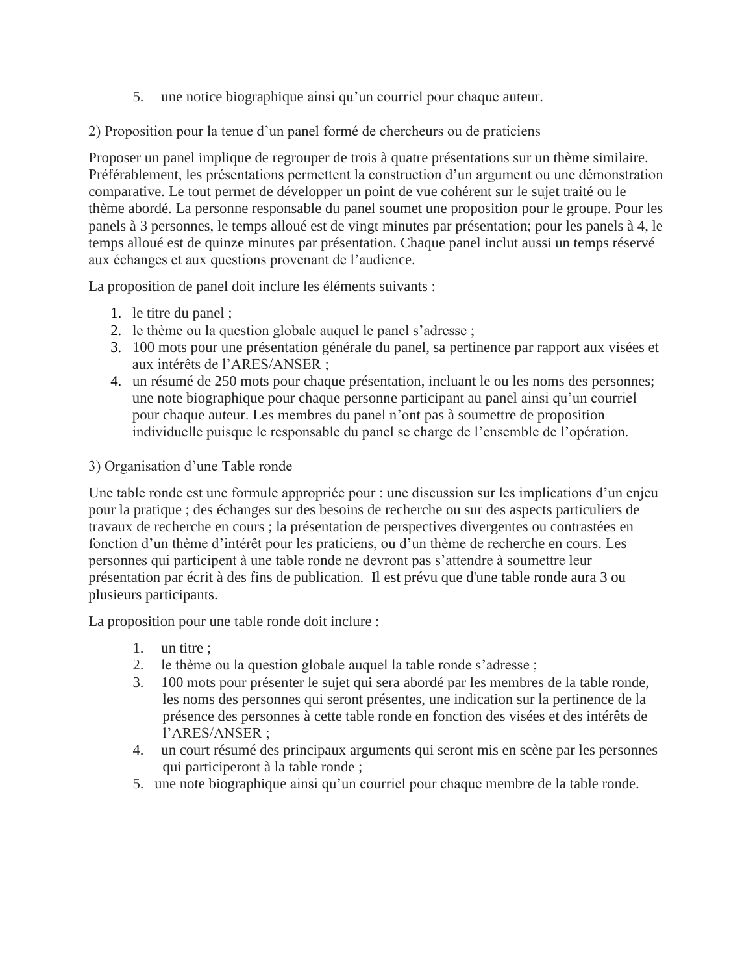5. une notice biographique ainsi qu'un courriel pour chaque auteur.

2) Proposition pour la tenue d'un panel formé de chercheurs ou de praticiens

Proposer un panel implique de regrouper de trois à quatre présentations sur un thème similaire. Préférablement, les présentations permettent la construction d'un argument ou une démonstration comparative. Le tout permet de développer un point de vue cohérent sur le sujet traité ou le thème abordé. La personne responsable du panel soumet une proposition pour le groupe. Pour les panels à 3 personnes, le temps alloué est de vingt minutes par présentation; pour les panels à 4, le temps alloué est de quinze minutes par présentation. Chaque panel inclut aussi un temps réservé aux échanges et aux questions provenant de l'audience.

La proposition de panel doit inclure les éléments suivants :

- 1. le titre du panel ;
- 2. le thème ou la question globale auquel le panel s'adresse ;
- 3. 100 mots pour une présentation générale du panel, sa pertinence par rapport aux visées et aux intérêts de l'ARES/ANSER ;
- 4. un résumé de 250 mots pour chaque présentation, incluant le ou les noms des personnes; une note biographique pour chaque personne participant au panel ainsi qu'un courriel pour chaque auteur. Les membres du panel n'ont pas à soumettre de proposition individuelle puisque le responsable du panel se charge de l'ensemble de l'opération.

3) Organisation d'une Table ronde

Une table ronde est une formule appropriée pour : une discussion sur les implications d'un enjeu pour la pratique ; des échanges sur des besoins de recherche ou sur des aspects particuliers de travaux de recherche en cours ; la présentation de perspectives divergentes ou contrastées en fonction d'un thème d'intérêt pour les praticiens, ou d'un thème de recherche en cours. Les personnes qui participent à une table ronde ne devront pas s'attendre à soumettre leur présentation par écrit à des fins de publication. Il est prévu que d'une table ronde aura 3 ou plusieurs participants.

La proposition pour une table ronde doit inclure :

- 1. un titre ;
- 2. le thème ou la question globale auquel la table ronde s'adresse ;
- 3. 100 mots pour présenter le sujet qui sera abordé par les membres de la table ronde, les noms des personnes qui seront présentes, une indication sur la pertinence de la présence des personnes à cette table ronde en fonction des visées et des intérêts de l'ARES/ANSER ;
- 4. un court résumé des principaux arguments qui seront mis en scène par les personnes qui participeront à la table ronde ;
- 5. une note biographique ainsi qu'un courriel pour chaque membre de la table ronde.